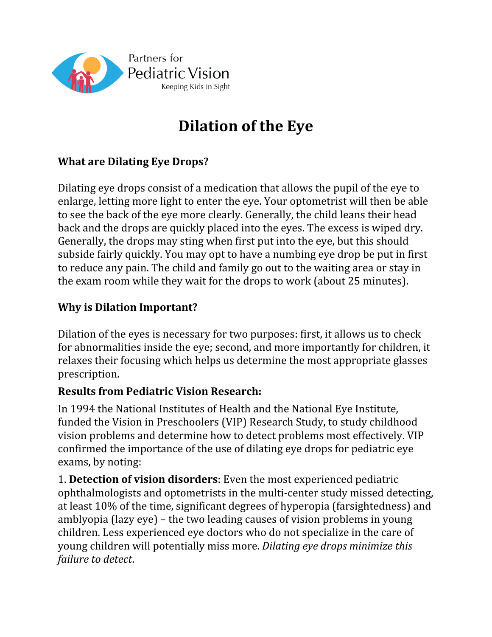

# **Dilation of the Eye**

### **What are Dilating Eye Drops?**

Dilating eye drops consist of a medication that allows the pupil of the eye to enlarge, letting more light to enter the eye. Your optometrist will then be able to see the back of the eye more clearly. Generally, the child leans their head back and the drops are quickly placed into the eyes. The excess is wiped dry. Generally, the drops may sting when first put into the eye, but this should subside fairly quickly. You may opt to have a numbing eye drop be put in first to reduce any pain. The child and family go out to the waiting area or stay in the exam room while they wait for the drops to work (about 25 minutes).

#### **Why is Dilation Important?**

Dilation of the eyes is necessary for two purposes: first, it allows us to check for abnormalities inside the eye; second, and more importantly for children, it relaxes their focusing which helps us determine the most appropriate glasses prescription.

#### **Results from Pediatric Vision Research:**

In 1994 the National Institutes of Health and the National Eye Institute, funded the Vision in Preschoolers (VIP) Research Study, to study childhood vision problems and determine how to detect problems most effectively. VIP confirmed the importance of the use of dilating eye drops for pediatric eye exams, by noting:

1. **Detection of vision disorders**: Even the most experienced pediatric ophthalmologists and optometrists in the multi-center study missed detecting, at least 10% of the time, significant degrees of hyperopia (farsightedness) and amblyopia (lazy eye) – the two leading causes of vision problems in young children. Less experienced eye doctors who do not specialize in the care of young children will potentially miss more. *Dilating eye drops minimize this failure to detect*.